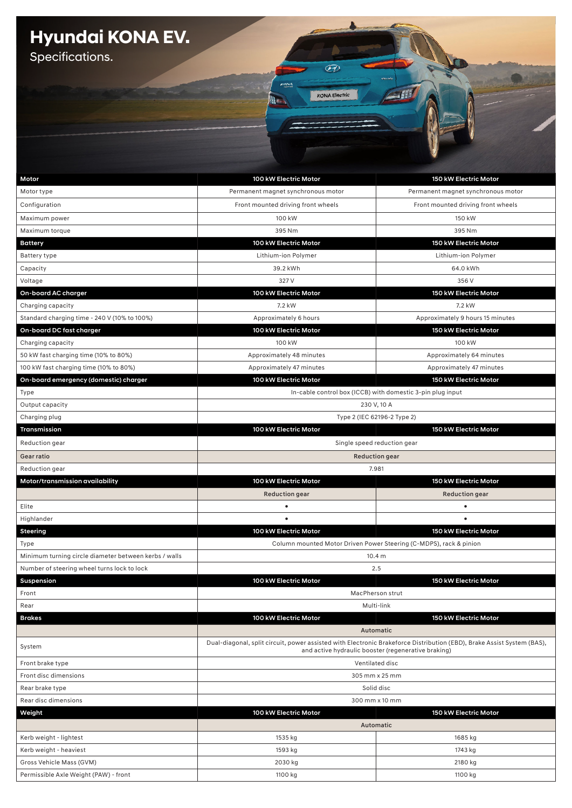## **Hyundai KONA EV.**

Specifications.

| Motor                                                 | 100 kW Electric Motor                                                                                                                                                         | 150 kW Electric Motor                                      |
|-------------------------------------------------------|-------------------------------------------------------------------------------------------------------------------------------------------------------------------------------|------------------------------------------------------------|
| Motor type                                            | Permanent magnet synchronous motor                                                                                                                                            | Permanent magnet synchronous motor                         |
| Configuration                                         | Front mounted driving front wheels                                                                                                                                            | Front mounted driving front wheels                         |
| Maximum power                                         | 100 kW                                                                                                                                                                        | 150 kW                                                     |
| Maximum torque                                        | 395 Nm                                                                                                                                                                        | 395 Nm                                                     |
| <b>Battery</b>                                        | 100 kW Electric Motor                                                                                                                                                         | 150 kW Electric Motor                                      |
| <b>Battery type</b>                                   | Lithium-ion Polymer                                                                                                                                                           | Lithium-ion Polymer                                        |
| Capacity<br>Voltage                                   | 39.2 kWh<br>327 V                                                                                                                                                             | 64.0 kWh<br>356 V                                          |
| On-board AC charger                                   | 100 kW Electric Motor                                                                                                                                                         | 150 kW Electric Motor                                      |
| Charging capacity                                     | 7.2 kW                                                                                                                                                                        | 7.2 kW                                                     |
| Standard charging time - 240 V (10% to 100%)          | Approximately 6 hours                                                                                                                                                         | Approximately 9 hours 15 minutes                           |
| On-board DC fast charger                              | 100 kW Electric Motor                                                                                                                                                         | 150 kW Electric Motor                                      |
| Charging capacity                                     | 100 kW                                                                                                                                                                        | 100 kW                                                     |
| 50 kW fast charging time (10% to 80%)                 | Approximately 48 minutes                                                                                                                                                      | Approximately 64 minutes                                   |
| 100 kW fast charging time (10% to 80%)                | Approximately 47 minutes                                                                                                                                                      | Approximately 47 minutes                                   |
| On-board emergency (domestic) charger                 | 100 kW Electric Motor                                                                                                                                                         | 150 kW Electric Motor                                      |
| Type                                                  |                                                                                                                                                                               | In-cable control box (ICCB) with domestic 3-pin plug input |
| Output capacity                                       | 230 V, 10 A                                                                                                                                                                   |                                                            |
| Charging plug                                         |                                                                                                                                                                               | Type 2 (IEC 62196-2 Type 2)                                |
| Transmission                                          | 100 kW Electric Motor                                                                                                                                                         | 150 kW Electric Motor                                      |
| Reduction gear                                        | Single speed reduction gear                                                                                                                                                   |                                                            |
| Gear ratio                                            | <b>Reduction gear</b>                                                                                                                                                         |                                                            |
| Reduction gear                                        | 7.981                                                                                                                                                                         |                                                            |
| Motor/transmission availability                       | 100 kW Electric Motor                                                                                                                                                         | 150 kW Electric Motor                                      |
|                                                       | <b>Reduction gear</b>                                                                                                                                                         | <b>Reduction gear</b>                                      |
| Elite                                                 | $\bullet$                                                                                                                                                                     | $\bullet$                                                  |
| Highlander                                            | $\bullet$                                                                                                                                                                     | $\bullet$                                                  |
| Steering                                              | 100 kW Electric Motor                                                                                                                                                         | 150 kW Electric Motor                                      |
| Type                                                  | Column mounted Motor Driven Power Steering (C-MDPS), rack & pinion                                                                                                            |                                                            |
| Minimum turning circle diameter between kerbs / walls | 10.4 m                                                                                                                                                                        |                                                            |
| Number of steering wheel turns lock to lock           | 2.5                                                                                                                                                                           |                                                            |
| Suspension                                            | 100 kW Electric Motor<br>150 kW Electric Motor                                                                                                                                |                                                            |
| Front                                                 | MacPherson strut                                                                                                                                                              |                                                            |
| Rear                                                  | Multi-link                                                                                                                                                                    |                                                            |
| <b>Brakes</b>                                         | 100 kW Electric Motor<br>150 kW Electric Motor                                                                                                                                |                                                            |
|                                                       | Automatic                                                                                                                                                                     |                                                            |
| System                                                | Dual-diagonal, split circuit, power assisted with Electronic Brakeforce Distribution (EBD), Brake Assist System (BAS),<br>and active hydraulic booster (regenerative braking) |                                                            |
| Front brake type                                      | Ventilated disc                                                                                                                                                               |                                                            |
| Front disc dimensions                                 | 305 mm x 25 mm                                                                                                                                                                |                                                            |
| Rear brake type                                       |                                                                                                                                                                               | Solid disc                                                 |
| Rear disc dimensions                                  | 300 mm x 10 mm                                                                                                                                                                |                                                            |
| Weight                                                | 100 kW Electric Motor                                                                                                                                                         | 150 kW Electric Motor                                      |
|                                                       |                                                                                                                                                                               | Automatic                                                  |
| Kerb weight - lightest                                | 1535 kg                                                                                                                                                                       | 1685 kg                                                    |
| Kerb weight - heaviest                                | 1593 kg                                                                                                                                                                       | 1743 kg                                                    |
| Gross Vehicle Mass (GVM)                              | 2030 kg                                                                                                                                                                       | 2180 kg                                                    |
| Permissible Axle Weight (PAW) - front                 | 1100 kg                                                                                                                                                                       | 1100 kg                                                    |

 $\mathcal{F}$ 

KONA Electric

**STAR**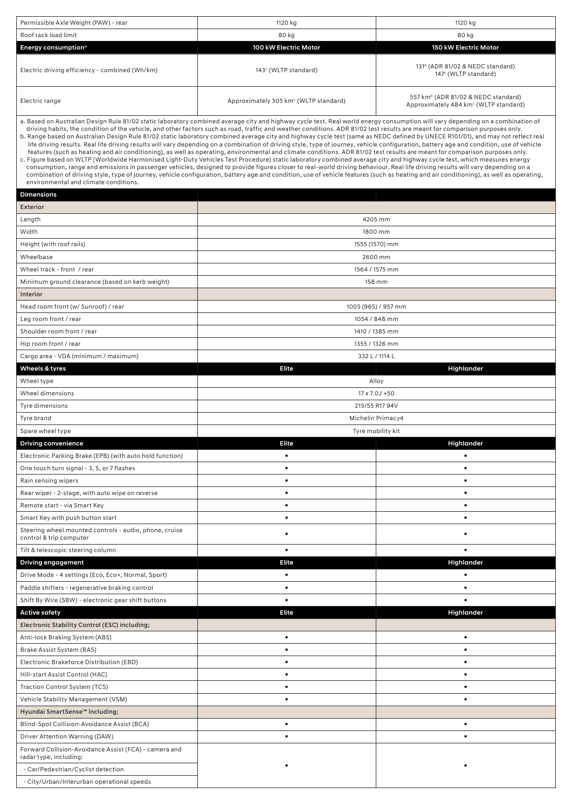| Permissible Axle Weight (PAW) - rear                     | 1120 kg                                                                                                                                                                                                                                                                                                                                                                                                                                                                                                                                                                                                                                                                                                                                                                                                                                                                                                                                                                                                                                                                                                                                                                                                                                                                                                                                                                                                                                                                             | 1120 kg                                                                                              |
|----------------------------------------------------------|-------------------------------------------------------------------------------------------------------------------------------------------------------------------------------------------------------------------------------------------------------------------------------------------------------------------------------------------------------------------------------------------------------------------------------------------------------------------------------------------------------------------------------------------------------------------------------------------------------------------------------------------------------------------------------------------------------------------------------------------------------------------------------------------------------------------------------------------------------------------------------------------------------------------------------------------------------------------------------------------------------------------------------------------------------------------------------------------------------------------------------------------------------------------------------------------------------------------------------------------------------------------------------------------------------------------------------------------------------------------------------------------------------------------------------------------------------------------------------------|------------------------------------------------------------------------------------------------------|
| Roof rack load limit                                     | 80 kg                                                                                                                                                                                                                                                                                                                                                                                                                                                                                                                                                                                                                                                                                                                                                                                                                                                                                                                                                                                                                                                                                                                                                                                                                                                                                                                                                                                                                                                                               | 80 kg                                                                                                |
| Energy consumption <sup>o</sup>                          | 100 kW Electric Motor                                                                                                                                                                                                                                                                                                                                                                                                                                                                                                                                                                                                                                                                                                                                                                                                                                                                                                                                                                                                                                                                                                                                                                                                                                                                                                                                                                                                                                                               | 150 kW Electric Motor                                                                                |
| Electric driving efficiency - combined (Wh/km)           | 143° (WLTP standard)                                                                                                                                                                                                                                                                                                                                                                                                                                                                                                                                                                                                                                                                                                                                                                                                                                                                                                                                                                                                                                                                                                                                                                                                                                                                                                                                                                                                                                                                | 131 <sup>b</sup> (ADR 81/02 & NEDC standard)<br>147 <sup>c</sup> (WLTP standard)                     |
| Electric range                                           | Approximately 305 km <sup>c</sup> (WLTP standard)                                                                                                                                                                                                                                                                                                                                                                                                                                                                                                                                                                                                                                                                                                                                                                                                                                                                                                                                                                                                                                                                                                                                                                                                                                                                                                                                                                                                                                   | 557 km <sup>b</sup> (ADR 81/02 & NEDC standard)<br>Approximately 484 km <sup>c</sup> (WLTP standard) |
| environmental and climate conditions.                    | a. Based on Australian Design Rule 81/02 static laboratory combined average city and highway cycle test. Real world energy consumption will vary depending on a combination of<br>driving habits, the condition of the vehicle, and other factors such as road, traffic and weather conditions. ADR 81/02 test results are meant for comparison purposes only.<br>b. Range based on Australian Design Rule 81/02 static laboratory combined average city and highway cycle test (same as NEDC defined by UNECE R101/01), and may not reflect real<br>life driving results. Real life driving results will vary depending on a combination of driving style, type of journey, vehicle configuration, battery age and condition, use of vehicle<br>features (such as heating and air conditioning), as well as operating, environmental and climate conditions. ADR 81/02 test results are meant for comparison purposes only.<br>c. Figure based on WLTP (Worldwide Harmonised Light-Duty Vehicles Test Procedure) static laboratory combined average city and highway cycle test, which measures energy<br>consumption, range and emissions in passenger vehicles, designed to provide figures closer to real-world driving behaviour. Real life driving results will vary depending on a<br>combination of driving style, type of journey, vehicle configuration, battery age and condition, use of vehicle features (such as heating and air conditioning), as well as operating, |                                                                                                      |
| <b>Dimensions</b>                                        |                                                                                                                                                                                                                                                                                                                                                                                                                                                                                                                                                                                                                                                                                                                                                                                                                                                                                                                                                                                                                                                                                                                                                                                                                                                                                                                                                                                                                                                                                     |                                                                                                      |
| Exterior                                                 |                                                                                                                                                                                                                                                                                                                                                                                                                                                                                                                                                                                                                                                                                                                                                                                                                                                                                                                                                                                                                                                                                                                                                                                                                                                                                                                                                                                                                                                                                     |                                                                                                      |
| Length                                                   |                                                                                                                                                                                                                                                                                                                                                                                                                                                                                                                                                                                                                                                                                                                                                                                                                                                                                                                                                                                                                                                                                                                                                                                                                                                                                                                                                                                                                                                                                     | 4205 mm                                                                                              |
| Width                                                    |                                                                                                                                                                                                                                                                                                                                                                                                                                                                                                                                                                                                                                                                                                                                                                                                                                                                                                                                                                                                                                                                                                                                                                                                                                                                                                                                                                                                                                                                                     | 1800 mm                                                                                              |
| Height (with roof rails)                                 |                                                                                                                                                                                                                                                                                                                                                                                                                                                                                                                                                                                                                                                                                                                                                                                                                                                                                                                                                                                                                                                                                                                                                                                                                                                                                                                                                                                                                                                                                     | 1555 (1570) mm                                                                                       |
| Wheelbase                                                |                                                                                                                                                                                                                                                                                                                                                                                                                                                                                                                                                                                                                                                                                                                                                                                                                                                                                                                                                                                                                                                                                                                                                                                                                                                                                                                                                                                                                                                                                     | 2600 mm                                                                                              |
| Wheel track - front / rear                               |                                                                                                                                                                                                                                                                                                                                                                                                                                                                                                                                                                                                                                                                                                                                                                                                                                                                                                                                                                                                                                                                                                                                                                                                                                                                                                                                                                                                                                                                                     | 1564 / 1575 mm                                                                                       |
| Minimum ground clearance (based on kerb weight)          |                                                                                                                                                                                                                                                                                                                                                                                                                                                                                                                                                                                                                                                                                                                                                                                                                                                                                                                                                                                                                                                                                                                                                                                                                                                                                                                                                                                                                                                                                     | 158 mm                                                                                               |
| Interior                                                 |                                                                                                                                                                                                                                                                                                                                                                                                                                                                                                                                                                                                                                                                                                                                                                                                                                                                                                                                                                                                                                                                                                                                                                                                                                                                                                                                                                                                                                                                                     |                                                                                                      |
| Head room front (w/ Sunroof) / rear                      |                                                                                                                                                                                                                                                                                                                                                                                                                                                                                                                                                                                                                                                                                                                                                                                                                                                                                                                                                                                                                                                                                                                                                                                                                                                                                                                                                                                                                                                                                     | 1005 (965) / 957 mm                                                                                  |
| Leg room front / rear                                    |                                                                                                                                                                                                                                                                                                                                                                                                                                                                                                                                                                                                                                                                                                                                                                                                                                                                                                                                                                                                                                                                                                                                                                                                                                                                                                                                                                                                                                                                                     | 1054 / 848 mm                                                                                        |
| Shoulder room front / rear                               |                                                                                                                                                                                                                                                                                                                                                                                                                                                                                                                                                                                                                                                                                                                                                                                                                                                                                                                                                                                                                                                                                                                                                                                                                                                                                                                                                                                                                                                                                     | 1410 / 1385 mm                                                                                       |
| Hip room front / rear                                    | 1355 / 1326 mm                                                                                                                                                                                                                                                                                                                                                                                                                                                                                                                                                                                                                                                                                                                                                                                                                                                                                                                                                                                                                                                                                                                                                                                                                                                                                                                                                                                                                                                                      |                                                                                                      |
| Cargo area - VDA (minimum / maximum)                     |                                                                                                                                                                                                                                                                                                                                                                                                                                                                                                                                                                                                                                                                                                                                                                                                                                                                                                                                                                                                                                                                                                                                                                                                                                                                                                                                                                                                                                                                                     | 332 L / 1114 L                                                                                       |
| Wheels & tyres                                           | <b>Elite</b>                                                                                                                                                                                                                                                                                                                                                                                                                                                                                                                                                                                                                                                                                                                                                                                                                                                                                                                                                                                                                                                                                                                                                                                                                                                                                                                                                                                                                                                                        | Highlander                                                                                           |
| Wheel type                                               | Alloy                                                                                                                                                                                                                                                                                                                                                                                                                                                                                                                                                                                                                                                                                                                                                                                                                                                                                                                                                                                                                                                                                                                                                                                                                                                                                                                                                                                                                                                                               |                                                                                                      |
| Wheel dimensions                                         | 17 x 7.0J +50                                                                                                                                                                                                                                                                                                                                                                                                                                                                                                                                                                                                                                                                                                                                                                                                                                                                                                                                                                                                                                                                                                                                                                                                                                                                                                                                                                                                                                                                       |                                                                                                      |
| Tyre dimensions                                          | 215/55 R17 94V                                                                                                                                                                                                                                                                                                                                                                                                                                                                                                                                                                                                                                                                                                                                                                                                                                                                                                                                                                                                                                                                                                                                                                                                                                                                                                                                                                                                                                                                      |                                                                                                      |
| Tyre brand                                               |                                                                                                                                                                                                                                                                                                                                                                                                                                                                                                                                                                                                                                                                                                                                                                                                                                                                                                                                                                                                                                                                                                                                                                                                                                                                                                                                                                                                                                                                                     | Michelin Primacy4                                                                                    |
| Spare wheel type                                         |                                                                                                                                                                                                                                                                                                                                                                                                                                                                                                                                                                                                                                                                                                                                                                                                                                                                                                                                                                                                                                                                                                                                                                                                                                                                                                                                                                                                                                                                                     | Tyre mobility kit                                                                                    |
| <b>Driving convenience</b>                               | <b>Elite</b>                                                                                                                                                                                                                                                                                                                                                                                                                                                                                                                                                                                                                                                                                                                                                                                                                                                                                                                                                                                                                                                                                                                                                                                                                                                                                                                                                                                                                                                                        | Highlander                                                                                           |
| Electronic Parking Brake (EPB) (with auto hold function) | $\bullet$                                                                                                                                                                                                                                                                                                                                                                                                                                                                                                                                                                                                                                                                                                                                                                                                                                                                                                                                                                                                                                                                                                                                                                                                                                                                                                                                                                                                                                                                           | $\bullet$                                                                                            |
| One touch turn signal - 3, 5, or 7 flashes               | ٠                                                                                                                                                                                                                                                                                                                                                                                                                                                                                                                                                                                                                                                                                                                                                                                                                                                                                                                                                                                                                                                                                                                                                                                                                                                                                                                                                                                                                                                                                   | ٠                                                                                                    |
| Rain sensing wipers                                      | $\bullet$                                                                                                                                                                                                                                                                                                                                                                                                                                                                                                                                                                                                                                                                                                                                                                                                                                                                                                                                                                                                                                                                                                                                                                                                                                                                                                                                                                                                                                                                           | ٠                                                                                                    |
| Rear wiper - 2-stage, with auto wipe on reverse          | $\bullet$                                                                                                                                                                                                                                                                                                                                                                                                                                                                                                                                                                                                                                                                                                                                                                                                                                                                                                                                                                                                                                                                                                                                                                                                                                                                                                                                                                                                                                                                           | $\bullet$                                                                                            |
| Remote start - via Smart Key                             | $\bullet$                                                                                                                                                                                                                                                                                                                                                                                                                                                                                                                                                                                                                                                                                                                                                                                                                                                                                                                                                                                                                                                                                                                                                                                                                                                                                                                                                                                                                                                                           | $\bullet$                                                                                            |
| Smart Key with push button start                         | $\bullet$                                                                                                                                                                                                                                                                                                                                                                                                                                                                                                                                                                                                                                                                                                                                                                                                                                                                                                                                                                                                                                                                                                                                                                                                                                                                                                                                                                                                                                                                           | $\bullet$                                                                                            |
| Steering wheel mounted controls - audio, phone, cruise   |                                                                                                                                                                                                                                                                                                                                                                                                                                                                                                                                                                                                                                                                                                                                                                                                                                                                                                                                                                                                                                                                                                                                                                                                                                                                                                                                                                                                                                                                                     |                                                                                                      |
| control & trip computer                                  | ٠                                                                                                                                                                                                                                                                                                                                                                                                                                                                                                                                                                                                                                                                                                                                                                                                                                                                                                                                                                                                                                                                                                                                                                                                                                                                                                                                                                                                                                                                                   |                                                                                                      |
| Tilt & telescopic steering column                        | $\bullet$                                                                                                                                                                                                                                                                                                                                                                                                                                                                                                                                                                                                                                                                                                                                                                                                                                                                                                                                                                                                                                                                                                                                                                                                                                                                                                                                                                                                                                                                           |                                                                                                      |
| Driving engagement                                       | Elite                                                                                                                                                                                                                                                                                                                                                                                                                                                                                                                                                                                                                                                                                                                                                                                                                                                                                                                                                                                                                                                                                                                                                                                                                                                                                                                                                                                                                                                                               | Highlander                                                                                           |
| Drive Mode - 4 settings (Eco, Eco+, Normal, Sport)       | $\bullet$                                                                                                                                                                                                                                                                                                                                                                                                                                                                                                                                                                                                                                                                                                                                                                                                                                                                                                                                                                                                                                                                                                                                                                                                                                                                                                                                                                                                                                                                           | $\bullet$                                                                                            |
| Paddle shifters - regenerative braking control           | $\bullet$                                                                                                                                                                                                                                                                                                                                                                                                                                                                                                                                                                                                                                                                                                                                                                                                                                                                                                                                                                                                                                                                                                                                                                                                                                                                                                                                                                                                                                                                           | ٠                                                                                                    |
| Shift By Wire (SBW) - electronic gear shift buttons      | $\bullet$                                                                                                                                                                                                                                                                                                                                                                                                                                                                                                                                                                                                                                                                                                                                                                                                                                                                                                                                                                                                                                                                                                                                                                                                                                                                                                                                                                                                                                                                           | $\bullet$                                                                                            |
| <b>Active safety</b>                                     | Elite                                                                                                                                                                                                                                                                                                                                                                                                                                                                                                                                                                                                                                                                                                                                                                                                                                                                                                                                                                                                                                                                                                                                                                                                                                                                                                                                                                                                                                                                               | Highlander                                                                                           |
| Electronic Stability Control (ESC) including;            |                                                                                                                                                                                                                                                                                                                                                                                                                                                                                                                                                                                                                                                                                                                                                                                                                                                                                                                                                                                                                                                                                                                                                                                                                                                                                                                                                                                                                                                                                     |                                                                                                      |
| Anti-lock Braking System (ABS)                           | $\bullet$                                                                                                                                                                                                                                                                                                                                                                                                                                                                                                                                                                                                                                                                                                                                                                                                                                                                                                                                                                                                                                                                                                                                                                                                                                                                                                                                                                                                                                                                           | $\bullet$                                                                                            |
| Brake Assist System (BAS)                                | $\bullet$                                                                                                                                                                                                                                                                                                                                                                                                                                                                                                                                                                                                                                                                                                                                                                                                                                                                                                                                                                                                                                                                                                                                                                                                                                                                                                                                                                                                                                                                           | ٠                                                                                                    |
| Electronic Brakeforce Distribution (EBD)                 | $\bullet$                                                                                                                                                                                                                                                                                                                                                                                                                                                                                                                                                                                                                                                                                                                                                                                                                                                                                                                                                                                                                                                                                                                                                                                                                                                                                                                                                                                                                                                                           | ٠                                                                                                    |
| Hill-start Assist Control (HAC)                          | $\bullet$                                                                                                                                                                                                                                                                                                                                                                                                                                                                                                                                                                                                                                                                                                                                                                                                                                                                                                                                                                                                                                                                                                                                                                                                                                                                                                                                                                                                                                                                           | ٠                                                                                                    |
| Traction Control System (TCS)                            | ٠                                                                                                                                                                                                                                                                                                                                                                                                                                                                                                                                                                                                                                                                                                                                                                                                                                                                                                                                                                                                                                                                                                                                                                                                                                                                                                                                                                                                                                                                                   | ٠                                                                                                    |
| Vehicle Stability Management (VSM)                       | $\bullet$                                                                                                                                                                                                                                                                                                                                                                                                                                                                                                                                                                                                                                                                                                                                                                                                                                                                                                                                                                                                                                                                                                                                                                                                                                                                                                                                                                                                                                                                           | $\bullet$                                                                                            |
| Hyundai SmartSense <sup>™</sup> including;               |                                                                                                                                                                                                                                                                                                                                                                                                                                                                                                                                                                                                                                                                                                                                                                                                                                                                                                                                                                                                                                                                                                                                                                                                                                                                                                                                                                                                                                                                                     |                                                                                                      |
| Blind-Spot Collision-Avoidance Assist (BCA)              | ٠                                                                                                                                                                                                                                                                                                                                                                                                                                                                                                                                                                                                                                                                                                                                                                                                                                                                                                                                                                                                                                                                                                                                                                                                                                                                                                                                                                                                                                                                                   | ٠                                                                                                    |
| Driver Attention Warning (DAW)                           | $\bullet$                                                                                                                                                                                                                                                                                                                                                                                                                                                                                                                                                                                                                                                                                                                                                                                                                                                                                                                                                                                                                                                                                                                                                                                                                                                                                                                                                                                                                                                                           | $\bullet$                                                                                            |
| Forward Collision-Avoidance Assist (FCA) - camera and    |                                                                                                                                                                                                                                                                                                                                                                                                                                                                                                                                                                                                                                                                                                                                                                                                                                                                                                                                                                                                                                                                                                                                                                                                                                                                                                                                                                                                                                                                                     |                                                                                                      |
| radar type, including:                                   |                                                                                                                                                                                                                                                                                                                                                                                                                                                                                                                                                                                                                                                                                                                                                                                                                                                                                                                                                                                                                                                                                                                                                                                                                                                                                                                                                                                                                                                                                     |                                                                                                      |
| - Car/Pedestrian/Cyclist detection                       |                                                                                                                                                                                                                                                                                                                                                                                                                                                                                                                                                                                                                                                                                                                                                                                                                                                                                                                                                                                                                                                                                                                                                                                                                                                                                                                                                                                                                                                                                     |                                                                                                      |
| - City/Urban/Interurban operational speeds               |                                                                                                                                                                                                                                                                                                                                                                                                                                                                                                                                                                                                                                                                                                                                                                                                                                                                                                                                                                                                                                                                                                                                                                                                                                                                                                                                                                                                                                                                                     |                                                                                                      |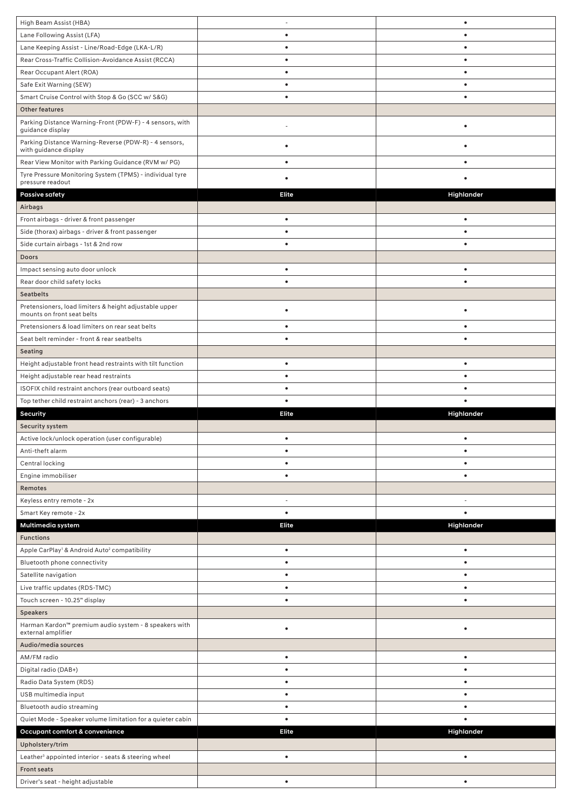| High Beam Assist (HBA)                                                               | $\overline{\phantom{a}}$ | $\bullet$  |
|--------------------------------------------------------------------------------------|--------------------------|------------|
| Lane Following Assist (LFA)                                                          | $\bullet$                | ٠          |
|                                                                                      |                          | ٠          |
| Lane Keeping Assist - Line/Road-Edge (LKA-L/R)                                       | $\bullet$                |            |
| Rear Cross-Traffic Collision-Avoidance Assist (RCCA)                                 | $\bullet$                | $\bullet$  |
| Rear Occupant Alert (ROA)                                                            | $\bullet$                | ٠          |
| Safe Exit Warning (SEW)                                                              | $\bullet$                | $\bullet$  |
| Smart Cruise Control with Stop & Go (SCC w/ S&G)                                     | $\bullet$                | $\bullet$  |
| <b>Other features</b>                                                                |                          |            |
| Parking Distance Warning-Front (PDW-F) - 4 sensors, with                             |                          |            |
| guidance display                                                                     |                          |            |
| Parking Distance Warning-Reverse (PDW-R) - 4 sensors,<br>with guidance display       | $\bullet$                | ٠          |
| Rear View Monitor with Parking Guidance (RVM w/ PG)                                  | $\bullet$                | ٠          |
| Tyre Pressure Monitoring System (TPMS) - individual tyre                             |                          |            |
| pressure readout                                                                     | $\bullet$                |            |
| <b>Passive safety</b>                                                                | <b>Elite</b>             | Highlander |
| Airbags                                                                              |                          |            |
| Front airbags - driver & front passenger                                             | $\bullet$                | $\bullet$  |
| Side (thorax) airbags - driver & front passenger                                     | $\bullet$                | $\bullet$  |
| Side curtain airbags - 1st & 2nd row                                                 | $\bullet$                | $\bullet$  |
| Doors                                                                                |                          |            |
|                                                                                      |                          |            |
| Impact sensing auto door unlock                                                      | $\bullet$                | $\bullet$  |
| Rear door child safety locks                                                         | $\bullet$                | $\bullet$  |
| <b>Seatbelts</b>                                                                     |                          |            |
| Pretensioners, load limiters & height adjustable upper<br>mounts on front seat belts | $\bullet$                |            |
| Pretensioners & load limiters on rear seat belts                                     | $\bullet$                | $\bullet$  |
| Seat belt reminder - front & rear seatbelts                                          | $\bullet$                | $\bullet$  |
| Seating                                                                              |                          |            |
|                                                                                      |                          |            |
| Height adjustable front head restraints with tilt function                           | $\bullet$                | $\bullet$  |
| Height adjustable rear head restraints                                               | $\bullet$                | $\bullet$  |
| ISOFIX child restraint anchors (rear outboard seats)                                 | $\bullet$                |            |
|                                                                                      |                          |            |
| Top tether child restraint anchors (rear) - 3 anchors                                | $\bullet$                |            |
| Security                                                                             | Elite                    | Highlander |
| Security system                                                                      |                          |            |
| Active lock/unlock operation (user configurable)                                     | $\bullet$                | $\bullet$  |
| Anti-theft alarm                                                                     | $\bullet$                |            |
| Central locking                                                                      | ٠                        |            |
| Engine immobiliser                                                                   |                          |            |
| Remotes                                                                              |                          |            |
| Keyless entry remote - 2x                                                            |                          | ٠          |
| Smart Key remote - 2x                                                                | $\bullet$                | $\bullet$  |
|                                                                                      | <b>Elite</b>             |            |
| Multimedia system                                                                    |                          | Highlander |
| <b>Functions</b>                                                                     | $\bullet$                |            |
| Apple CarPlay <sup>1</sup> & Android Auto <sup>2</sup> compatibility                 | $\bullet$                | $\bullet$  |
| Bluetooth phone connectivity                                                         |                          |            |
| Satellite navigation                                                                 | $\bullet$                | $\bullet$  |
| Live traffic updates (RDS-TMC)                                                       | $\bullet$                | $\bullet$  |
| Touch screen - 10.25" display                                                        | $\bullet$                | $\bullet$  |
| <b>Speakers</b>                                                                      |                          |            |
| Harman Kardon™ premium audio system - 8 speakers with                                | $\bullet$                |            |
| external amplifier                                                                   |                          |            |
| Audio/media sources                                                                  |                          |            |
| AM/FM radio                                                                          | $\bullet$                | $\bullet$  |
| Digital radio (DAB+)                                                                 | $\bullet$                | $\bullet$  |
| Radio Data System (RDS)                                                              | $\bullet$                |            |
| USB multimedia input                                                                 | $\bullet$                |            |
| Bluetooth audio streaming                                                            | $\bullet$                | $\bullet$  |
| Quiet Mode - Speaker volume limitation for a quieter cabin                           | $\bullet$                | $\bullet$  |
| Occupant comfort & convenience                                                       | Elite                    | Highlander |
| Upholstery/trim                                                                      |                          |            |
| Leather <sup>3</sup> appointed interior - seats & steering wheel                     | $\bullet$                | $\bullet$  |
| <b>Front seats</b>                                                                   |                          |            |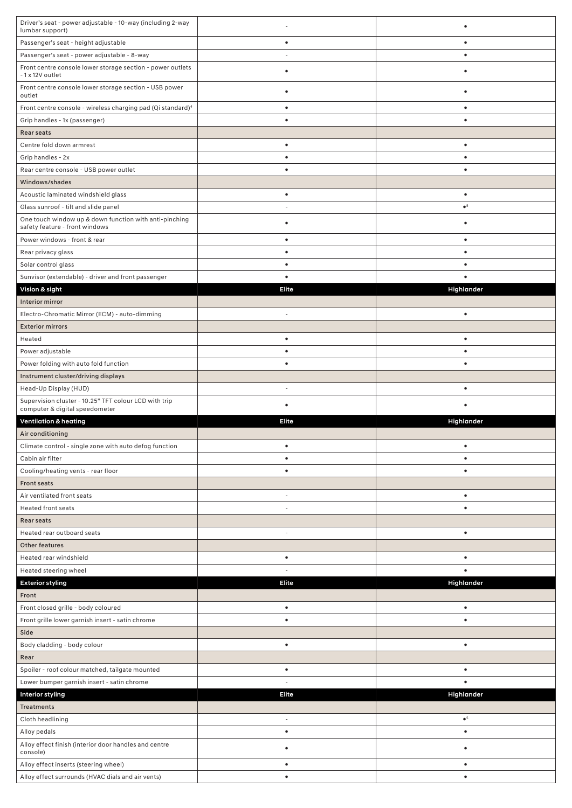| Driver's seat - power adjustable - 10-way (including 2-way<br>lumbar support)              |                        |                        |
|--------------------------------------------------------------------------------------------|------------------------|------------------------|
| Passenger's seat - height adjustable                                                       | $\bullet$              | $\bullet$              |
| Passenger's seat - power adjustable - 8-way                                                |                        | $\bullet$              |
| Front centre console lower storage section - power outlets<br>-1 x 12V outlet              | $\bullet$              |                        |
| Front centre console lower storage section - USB power<br>outlet                           | $\bullet$              | ٠                      |
| Front centre console - wireless charging pad (Qi standard) <sup>4</sup>                    | $\bullet$              | ٠                      |
| Grip handles - 1x (passenger)                                                              | $\bullet$              | $\bullet$              |
| Rear seats                                                                                 |                        |                        |
| Centre fold down armrest                                                                   | $\bullet$              | $\bullet$              |
| Grip handles - 2x                                                                          | ٠                      | ٠                      |
| Rear centre console - USB power outlet                                                     | $\bullet$              | $\bullet$              |
| Windows/shades                                                                             |                        |                        |
| Acoustic laminated windshield glass                                                        | $\bullet$              | $\bullet$              |
| Glass sunroof - tilt and slide panel                                                       |                        | $\bullet^5$            |
| One touch window up & down function with anti-pinching                                     | $\bullet$              | $\bullet$              |
| safety feature - front windows                                                             |                        |                        |
| Power windows - front & rear                                                               | $\bullet$<br>$\bullet$ | $\bullet$<br>$\bullet$ |
| Rear privacy glass                                                                         | $\bullet$              | ٠                      |
| Solar control glass                                                                        | $\bullet$              |                        |
| Sunvisor (extendable) - driver and front passenger                                         | Elite                  |                        |
| Vision & sight<br>Interior mirror                                                          |                        | Highlander             |
|                                                                                            | $\sim$                 | $\bullet$              |
| Electro-Chromatic Mirror (ECM) - auto-dimming<br><b>Exterior mirrors</b>                   |                        |                        |
|                                                                                            | $\bullet$              | $\bullet$              |
| Heated<br>Power adjustable                                                                 | $\bullet$              | $\bullet$              |
| Power folding with auto fold function                                                      | $\bullet$              | $\bullet$              |
| Instrument cluster/driving displays                                                        |                        |                        |
| Head-Up Display (HUD)                                                                      |                        | $\bullet$              |
|                                                                                            |                        |                        |
|                                                                                            |                        |                        |
| Supervision cluster - 10.25" TFT colour LCD with trip<br>computer & digital speedometer    | $\bullet$              |                        |
| <b>Ventilation &amp; heating</b>                                                           | <b>Elite</b>           | Highlander             |
| Air conditioning                                                                           |                        |                        |
| Climate control - single zone with auto defog function                                     |                        |                        |
| Cabin air filter                                                                           | $\bullet$              | $\bullet$              |
| Cooling/heating vents - rear floor                                                         | $\bullet$              | $\bullet$              |
| <b>Front seats</b>                                                                         |                        |                        |
| Air ventilated front seats                                                                 |                        | $\bullet$              |
| <b>Heated front seats</b>                                                                  |                        | $\bullet$              |
| Rear seats                                                                                 |                        |                        |
| Heated rear outboard seats                                                                 | $\sim$                 | $\bullet$              |
| Other features                                                                             |                        |                        |
| Heated rear windshield                                                                     | $\bullet$              | ٠                      |
| Heated steering wheel                                                                      |                        |                        |
| <b>Exterior styling</b>                                                                    | Elite                  | Highlander             |
| Front                                                                                      |                        |                        |
| Front closed grille - body coloured                                                        | $\bullet$              | $\bullet$              |
| Front grille lower garnish insert - satin chrome                                           | $\bullet$              | $\bullet$              |
| Side                                                                                       |                        |                        |
| Body cladding - body colour                                                                | $\bullet$              | $\bullet$              |
| Rear                                                                                       |                        |                        |
| Spoiler - roof colour matched, tailgate mounted                                            | $\bullet$              | $\bullet$              |
| Lower bumper garnish insert - satin chrome                                                 |                        |                        |
| <b>Interior styling</b>                                                                    | <b>Elite</b>           | Highlander             |
| <b>Treatments</b>                                                                          |                        |                        |
| Cloth headlining                                                                           |                        | $\bullet^5$            |
| Alloy pedals                                                                               | $\bullet$              | $\bullet$              |
| Alloy effect finish (interior door handles and centre<br>console)                          | $\bullet$              |                        |
| Alloy effect inserts (steering wheel)<br>Alloy effect surrounds (HVAC dials and air vents) | $\bullet$              | $\bullet$              |